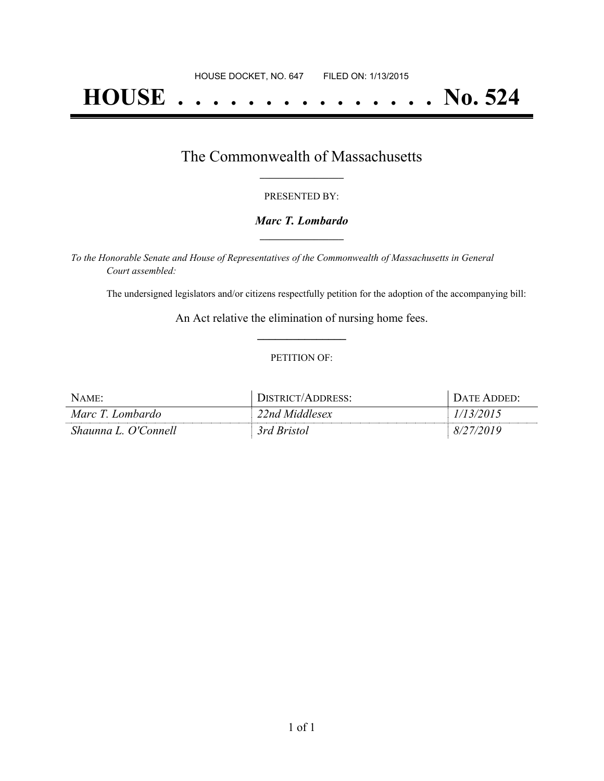# **HOUSE . . . . . . . . . . . . . . . No. 524**

### The Commonwealth of Massachusetts **\_\_\_\_\_\_\_\_\_\_\_\_\_\_\_\_\_**

#### PRESENTED BY:

#### *Marc T. Lombardo* **\_\_\_\_\_\_\_\_\_\_\_\_\_\_\_\_\_**

*To the Honorable Senate and House of Representatives of the Commonwealth of Massachusetts in General Court assembled:*

The undersigned legislators and/or citizens respectfully petition for the adoption of the accompanying bill:

An Act relative the elimination of nursing home fees. **\_\_\_\_\_\_\_\_\_\_\_\_\_\_\_**

#### PETITION OF:

| Name:                | DISTRICT/ADDRESS: | $D$ ate Added $\cdot$ |
|----------------------|-------------------|-----------------------|
| Marc T. Lombardo     | 22nd Middlesex    |                       |
| Shaunna L. O'Connell | 3rd Bristol       | 2019<br>8/2           |